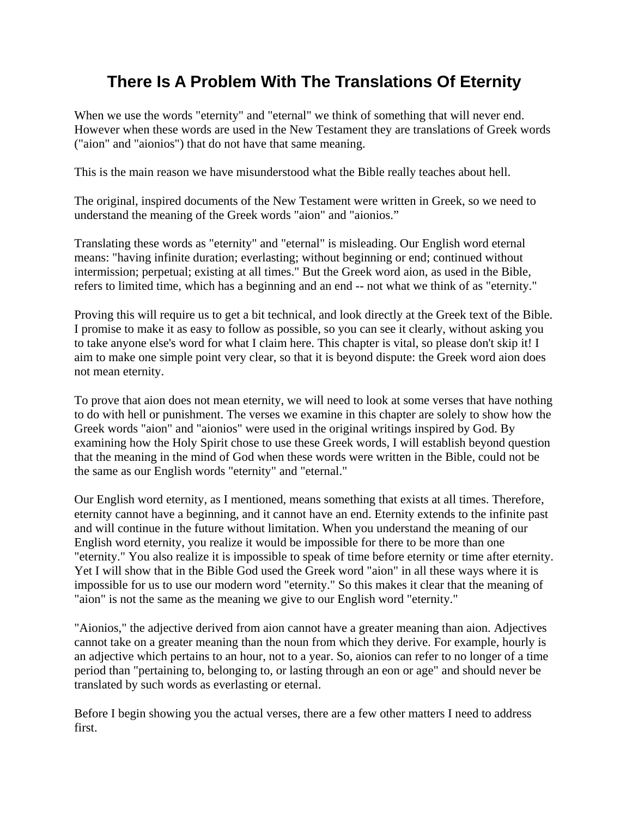# **There Is A Problem With The Translations Of Eternity**

When we use the words "eternity" and "eternal" we think of something that will never end. However when these words are used in the New Testament they are translations of Greek words ("aion" and "aionios") that do not have that same meaning.

This is the main reason we have misunderstood what the Bible really teaches about hell.

The original, inspired documents of the New Testament were written in Greek, so we need to understand the meaning of the Greek words "aion" and "aionios."

Translating these words as "eternity" and "eternal" is misleading. Our English word eternal means: "having infinite duration; everlasting; without beginning or end; continued without intermission; perpetual; existing at all times." But the Greek word aion, as used in the Bible, refers to limited time, which has a beginning and an end -- not what we think of as "eternity."

Proving this will require us to get a bit technical, and look directly at the Greek text of the Bible. I promise to make it as easy to follow as possible, so you can see it clearly, without asking you to take anyone else's word for what I claim here. This chapter is vital, so please don't skip it! I aim to make one simple point very clear, so that it is beyond dispute: the Greek word aion does not mean eternity.

To prove that aion does not mean eternity, we will need to look at some verses that have nothing to do with hell or punishment. The verses we examine in this chapter are solely to show how the Greek words "aion" and "aionios" were used in the original writings inspired by God. By examining how the Holy Spirit chose to use these Greek words, I will establish beyond question that the meaning in the mind of God when these words were written in the Bible, could not be the same as our English words "eternity" and "eternal."

Our English word eternity, as I mentioned, means something that exists at all times. Therefore, eternity cannot have a beginning, and it cannot have an end. Eternity extends to the infinite past and will continue in the future without limitation. When you understand the meaning of our English word eternity, you realize it would be impossible for there to be more than one "eternity." You also realize it is impossible to speak of time before eternity or time after eternity. Yet I will show that in the Bible God used the Greek word "aion" in all these ways where it is impossible for us to use our modern word "eternity." So this makes it clear that the meaning of "aion" is not the same as the meaning we give to our English word "eternity."

"Aionios," the adjective derived from aion cannot have a greater meaning than aion. Adjectives cannot take on a greater meaning than the noun from which they derive. For example, hourly is an adjective which pertains to an hour, not to a year. So, aionios can refer to no longer of a time period than "pertaining to, belonging to, or lasting through an eon or age" and should never be translated by such words as everlasting or eternal.

Before I begin showing you the actual verses, there are a few other matters I need to address first.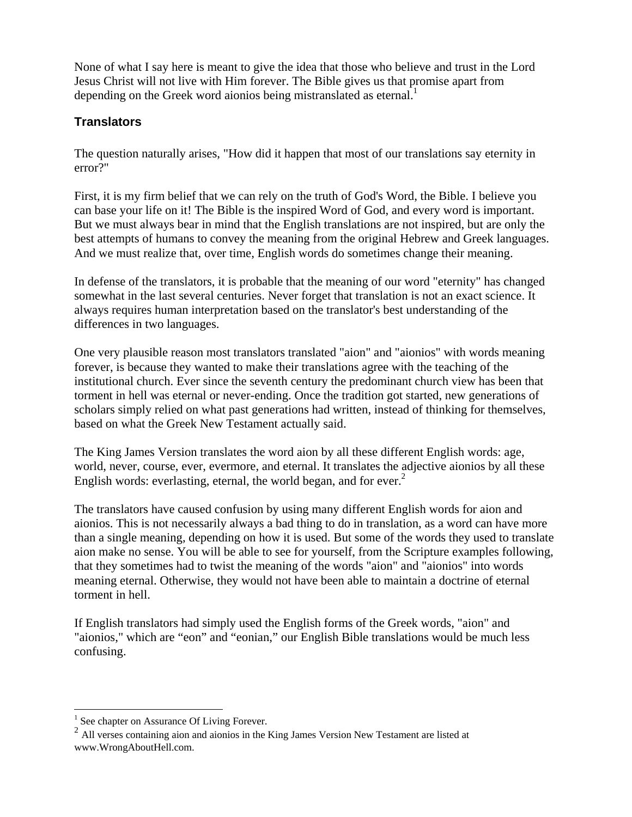None of what I say here is meant to give the idea that those who believe and trust in the Lord Jesus Christ will not live with Him forever. The Bible gives us that promise apart from depending on the Greek word aionios being mistranslated as eternal.<sup>1</sup>

# **Translators**

The question naturally arises, "How did it happen that most of our translations say eternity in error?"

First, it is my firm belief that we can rely on the truth of God's Word, the Bible. I believe you can base your life on it! The Bible is the inspired Word of God, and every word is important. But we must always bear in mind that the English translations are not inspired, but are only the best attempts of humans to convey the meaning from the original Hebrew and Greek languages. And we must realize that, over time, English words do sometimes change their meaning.

In defense of the translators, it is probable that the meaning of our word "eternity" has changed somewhat in the last several centuries. Never forget that translation is not an exact science. It always requires human interpretation based on the translator's best understanding of the differences in two languages.

One very plausible reason most translators translated "aion" and "aionios" with words meaning forever, is because they wanted to make their translations agree with the teaching of the institutional church. Ever since the seventh century the predominant church view has been that torment in hell was eternal or never-ending. Once the tradition got started, new generations of scholars simply relied on what past generations had written, instead of thinking for themselves, based on what the Greek New Testament actually said.

The King James Version translates the word aion by all these different English words: age, world, never, course, ever, evermore, and eternal. It translates the adjective aionios by all these English words: everlasting, eternal, the world began, and for ever. $<sup>2</sup>$ </sup>

The translators have caused confusion by using many different English words for aion and aionios. This is not necessarily always a bad thing to do in translation, as a word can have more than a single meaning, depending on how it is used. But some of the words they used to translate aion make no sense. You will be able to see for yourself, from the Scripture examples following, that they sometimes had to twist the meaning of the words "aion" and "aionios" into words meaning eternal. Otherwise, they would not have been able to maintain a doctrine of eternal torment in hell.

If English translators had simply used the English forms of the Greek words, "aion" and "aionios," which are "eon" and "eonian," our English Bible translations would be much less confusing.

<sup>&</sup>lt;sup>1</sup> See chapter on Assurance Of Living Forever.

<sup>&</sup>lt;sup>2</sup> All verses containing aion and aionios in the King James Version New Testament are listed at www.WrongAboutHell.com.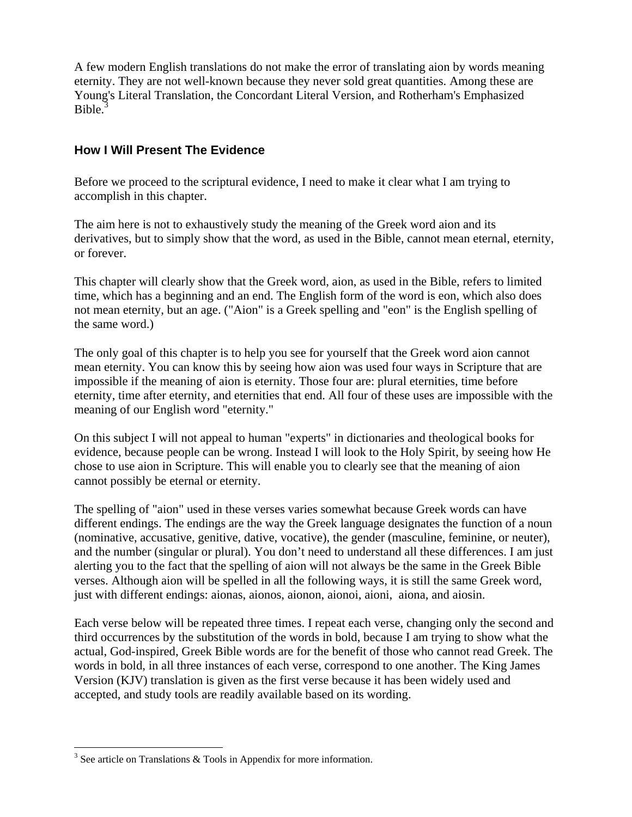A few modern English translations do not make the error of translating aion by words meaning eternity. They are not well-known because they never sold great quantities. Among these are Young's Literal Translation, the Concordant Literal Version, and Rotherham's Emphasized Bible.<sup>3</sup>

# **How I Will Present The Evidence**

Before we proceed to the scriptural evidence, I need to make it clear what I am trying to accomplish in this chapter.

The aim here is not to exhaustively study the meaning of the Greek word aion and its derivatives, but to simply show that the word, as used in the Bible, cannot mean eternal, eternity, or forever.

This chapter will clearly show that the Greek word, aion, as used in the Bible, refers to limited time, which has a beginning and an end. The English form of the word is eon, which also does not mean eternity, but an age. ("Aion" is a Greek spelling and "eon" is the English spelling of the same word.)

The only goal of this chapter is to help you see for yourself that the Greek word aion cannot mean eternity. You can know this by seeing how aion was used four ways in Scripture that are impossible if the meaning of aion is eternity. Those four are: plural eternities, time before eternity, time after eternity, and eternities that end. All four of these uses are impossible with the meaning of our English word "eternity."

On this subject I will not appeal to human "experts" in dictionaries and theological books for evidence, because people can be wrong. Instead I will look to the Holy Spirit, by seeing how He chose to use aion in Scripture. This will enable you to clearly see that the meaning of aion cannot possibly be eternal or eternity.

The spelling of "aion" used in these verses varies somewhat because Greek words can have different endings. The endings are the way the Greek language designates the function of a noun (nominative, accusative, genitive, dative, vocative), the gender (masculine, feminine, or neuter), and the number (singular or plural). You don't need to understand all these differences. I am just alerting you to the fact that the spelling of aion will not always be the same in the Greek Bible verses. Although aion will be spelled in all the following ways, it is still the same Greek word, just with different endings: aionas, aionos, aionon, aionoi, aioni, aiona, and aiosin.

Each verse below will be repeated three times. I repeat each verse, changing only the second and third occurrences by the substitution of the words in bold, because I am trying to show what the actual, God-inspired, Greek Bible words are for the benefit of those who cannot read Greek. The words in bold, in all three instances of each verse, correspond to one another. The King James Version (KJV) translation is given as the first verse because it has been widely used and accepted, and study tools are readily available based on its wording.

 $\overline{a}$  $3$  See article on Translations & Tools in Appendix for more information.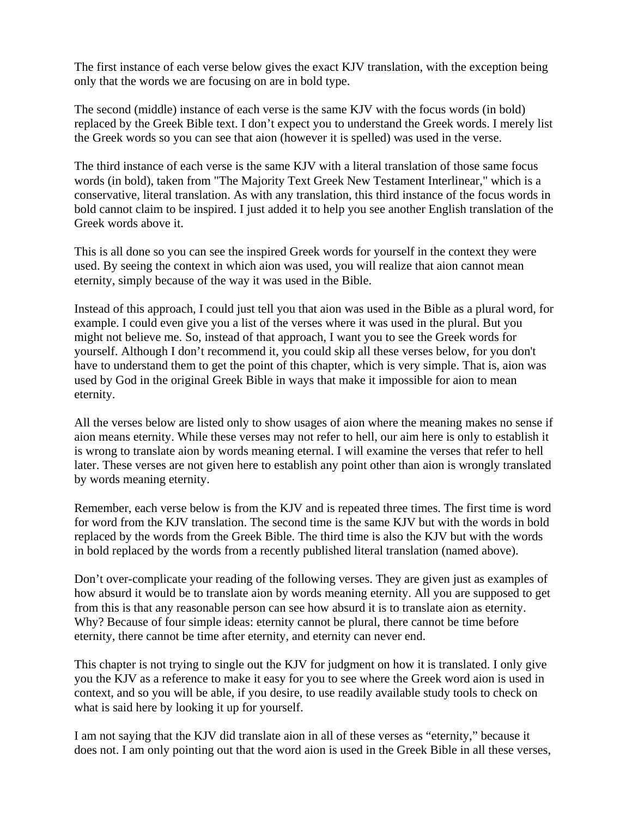The first instance of each verse below gives the exact KJV translation, with the exception being only that the words we are focusing on are in bold type.

The second (middle) instance of each verse is the same KJV with the focus words (in bold) replaced by the Greek Bible text. I don't expect you to understand the Greek words. I merely list the Greek words so you can see that aion (however it is spelled) was used in the verse.

The third instance of each verse is the same KJV with a literal translation of those same focus words (in bold), taken from "The Majority Text Greek New Testament Interlinear," which is a conservative, literal translation. As with any translation, this third instance of the focus words in bold cannot claim to be inspired. I just added it to help you see another English translation of the Greek words above it.

This is all done so you can see the inspired Greek words for yourself in the context they were used. By seeing the context in which aion was used, you will realize that aion cannot mean eternity, simply because of the way it was used in the Bible.

Instead of this approach, I could just tell you that aion was used in the Bible as a plural word, for example. I could even give you a list of the verses where it was used in the plural. But you might not believe me. So, instead of that approach, I want you to see the Greek words for yourself. Although I don't recommend it, you could skip all these verses below, for you don't have to understand them to get the point of this chapter, which is very simple. That is, aion was used by God in the original Greek Bible in ways that make it impossible for aion to mean eternity.

All the verses below are listed only to show usages of aion where the meaning makes no sense if aion means eternity. While these verses may not refer to hell, our aim here is only to establish it is wrong to translate aion by words meaning eternal. I will examine the verses that refer to hell later. These verses are not given here to establish any point other than aion is wrongly translated by words meaning eternity.

Remember, each verse below is from the KJV and is repeated three times. The first time is word for word from the KJV translation. The second time is the same KJV but with the words in bold replaced by the words from the Greek Bible. The third time is also the KJV but with the words in bold replaced by the words from a recently published literal translation (named above).

Don't over-complicate your reading of the following verses. They are given just as examples of how absurd it would be to translate aion by words meaning eternity. All you are supposed to get from this is that any reasonable person can see how absurd it is to translate aion as eternity. Why? Because of four simple ideas: eternity cannot be plural, there cannot be time before eternity, there cannot be time after eternity, and eternity can never end.

This chapter is not trying to single out the KJV for judgment on how it is translated. I only give you the KJV as a reference to make it easy for you to see where the Greek word aion is used in context, and so you will be able, if you desire, to use readily available study tools to check on what is said here by looking it up for yourself.

I am not saying that the KJV did translate aion in all of these verses as "eternity," because it does not. I am only pointing out that the word aion is used in the Greek Bible in all these verses,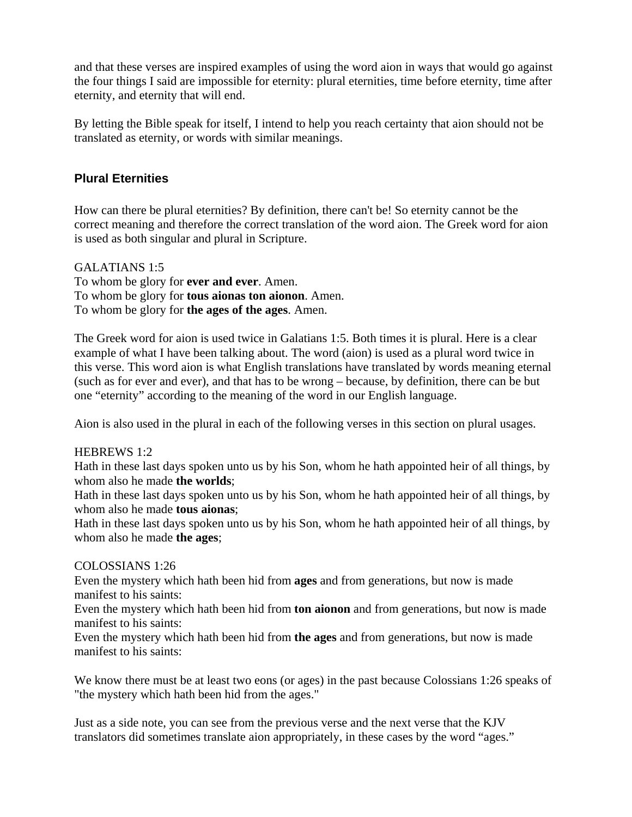and that these verses are inspired examples of using the word aion in ways that would go against the four things I said are impossible for eternity: plural eternities, time before eternity, time after eternity, and eternity that will end.

By letting the Bible speak for itself, I intend to help you reach certainty that aion should not be translated as eternity, or words with similar meanings.

# **Plural Eternities**

How can there be plural eternities? By definition, there can't be! So eternity cannot be the correct meaning and therefore the correct translation of the word aion. The Greek word for aion is used as both singular and plural in Scripture.

GALATIANS 1:5 To whom be glory for **ever and ever**. Amen. To whom be glory for **tous aionas ton aionon**. Amen. To whom be glory for **the ages of the ages**. Amen.

The Greek word for aion is used twice in Galatians 1:5. Both times it is plural. Here is a clear example of what I have been talking about. The word (aion) is used as a plural word twice in this verse. This word aion is what English translations have translated by words meaning eternal (such as for ever and ever), and that has to be wrong – because, by definition, there can be but one "eternity" according to the meaning of the word in our English language.

Aion is also used in the plural in each of the following verses in this section on plural usages.

#### HEBREWS 1:2

Hath in these last days spoken unto us by his Son, whom he hath appointed heir of all things, by whom also he made **the worlds**;

Hath in these last days spoken unto us by his Son, whom he hath appointed heir of all things, by whom also he made **tous aionas**;

Hath in these last days spoken unto us by his Son, whom he hath appointed heir of all things, by whom also he made **the ages**;

#### COLOSSIANS 1:26

Even the mystery which hath been hid from **ages** and from generations, but now is made manifest to his saints:

Even the mystery which hath been hid from **ton aionon** and from generations, but now is made manifest to his saints:

Even the mystery which hath been hid from **the ages** and from generations, but now is made manifest to his saints:

We know there must be at least two eons (or ages) in the past because Colossians 1:26 speaks of "the mystery which hath been hid from the ages."

Just as a side note, you can see from the previous verse and the next verse that the KJV translators did sometimes translate aion appropriately, in these cases by the word "ages."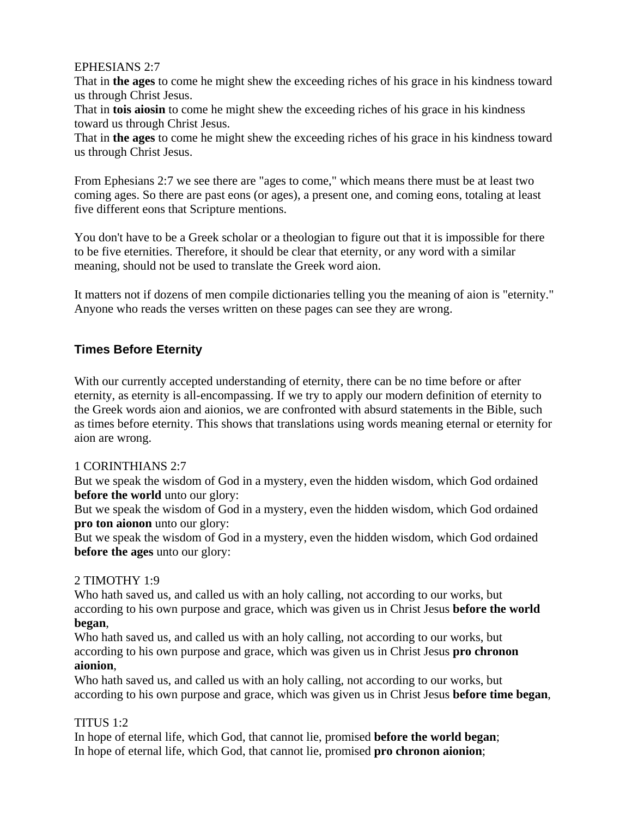### EPHESIANS 2:7

That in **the ages** to come he might shew the exceeding riches of his grace in his kindness toward us through Christ Jesus.

That in **tois aiosin** to come he might shew the exceeding riches of his grace in his kindness toward us through Christ Jesus.

That in **the ages** to come he might shew the exceeding riches of his grace in his kindness toward us through Christ Jesus.

From Ephesians 2:7 we see there are "ages to come," which means there must be at least two coming ages. So there are past eons (or ages), a present one, and coming eons, totaling at least five different eons that Scripture mentions.

You don't have to be a Greek scholar or a theologian to figure out that it is impossible for there to be five eternities. Therefore, it should be clear that eternity, or any word with a similar meaning, should not be used to translate the Greek word aion.

It matters not if dozens of men compile dictionaries telling you the meaning of aion is "eternity." Anyone who reads the verses written on these pages can see they are wrong.

# **Times Before Eternity**

With our currently accepted understanding of eternity, there can be no time before or after eternity, as eternity is all-encompassing. If we try to apply our modern definition of eternity to the Greek words aion and aionios, we are confronted with absurd statements in the Bible, such as times before eternity. This shows that translations using words meaning eternal or eternity for aion are wrong.

# 1 CORINTHIANS 2:7

But we speak the wisdom of God in a mystery, even the hidden wisdom, which God ordained **before the world** unto our glory:

But we speak the wisdom of God in a mystery, even the hidden wisdom, which God ordained **pro ton aionon** unto our glory:

But we speak the wisdom of God in a mystery, even the hidden wisdom, which God ordained **before the ages** unto our glory:

# 2 TIMOTHY 1:9

Who hath saved us, and called us with an holy calling, not according to our works, but according to his own purpose and grace, which was given us in Christ Jesus **before the world began**,

Who hath saved us, and called us with an holy calling, not according to our works, but according to his own purpose and grace, which was given us in Christ Jesus **pro chronon aionion**,

Who hath saved us, and called us with an holy calling, not according to our works, but according to his own purpose and grace, which was given us in Christ Jesus **before time began**,

# TITUS  $1:2$

In hope of eternal life, which God, that cannot lie, promised **before the world began**; In hope of eternal life, which God, that cannot lie, promised **pro chronon aionion**;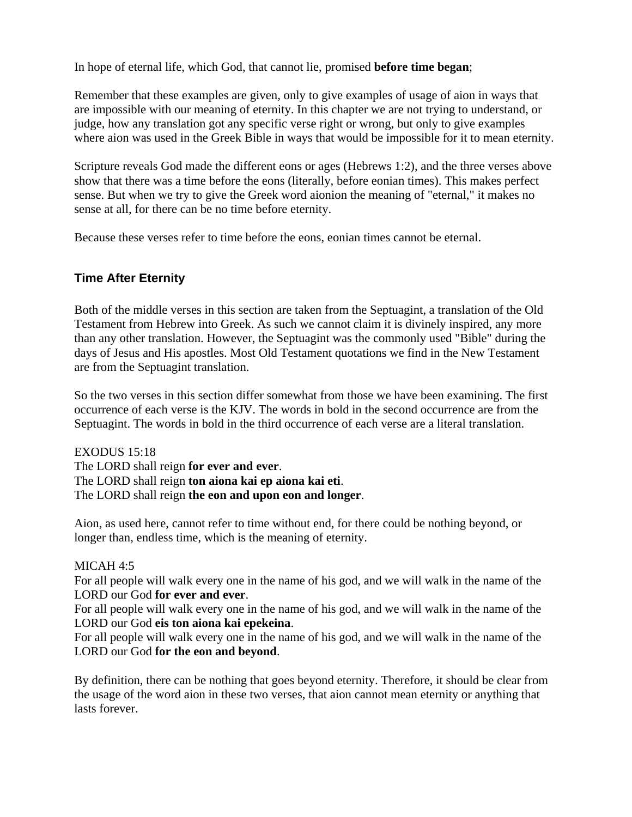In hope of eternal life, which God, that cannot lie, promised **before time began**;

Remember that these examples are given, only to give examples of usage of aion in ways that are impossible with our meaning of eternity. In this chapter we are not trying to understand, or judge, how any translation got any specific verse right or wrong, but only to give examples where aion was used in the Greek Bible in ways that would be impossible for it to mean eternity.

Scripture reveals God made the different eons or ages (Hebrews 1:2), and the three verses above show that there was a time before the eons (literally, before eonian times). This makes perfect sense. But when we try to give the Greek word aionion the meaning of "eternal," it makes no sense at all, for there can be no time before eternity.

Because these verses refer to time before the eons, eonian times cannot be eternal.

# **Time After Eternity**

Both of the middle verses in this section are taken from the Septuagint, a translation of the Old Testament from Hebrew into Greek. As such we cannot claim it is divinely inspired, any more than any other translation. However, the Septuagint was the commonly used "Bible" during the days of Jesus and His apostles. Most Old Testament quotations we find in the New Testament are from the Septuagint translation.

So the two verses in this section differ somewhat from those we have been examining. The first occurrence of each verse is the KJV. The words in bold in the second occurrence are from the Septuagint. The words in bold in the third occurrence of each verse are a literal translation.

EXODUS 15:18 The LORD shall reign **for ever and ever**. The LORD shall reign **ton aiona kai ep aiona kai eti**. The LORD shall reign **the eon and upon eon and longer**.

Aion, as used here, cannot refer to time without end, for there could be nothing beyond, or longer than, endless time, which is the meaning of eternity.

#### MICAH 4:5

For all people will walk every one in the name of his god, and we will walk in the name of the LORD our God **for ever and ever**.

For all people will walk every one in the name of his god, and we will walk in the name of the LORD our God **eis ton aiona kai epekeina**.

For all people will walk every one in the name of his god, and we will walk in the name of the LORD our God **for the eon and beyond**.

By definition, there can be nothing that goes beyond eternity. Therefore, it should be clear from the usage of the word aion in these two verses, that aion cannot mean eternity or anything that lasts forever.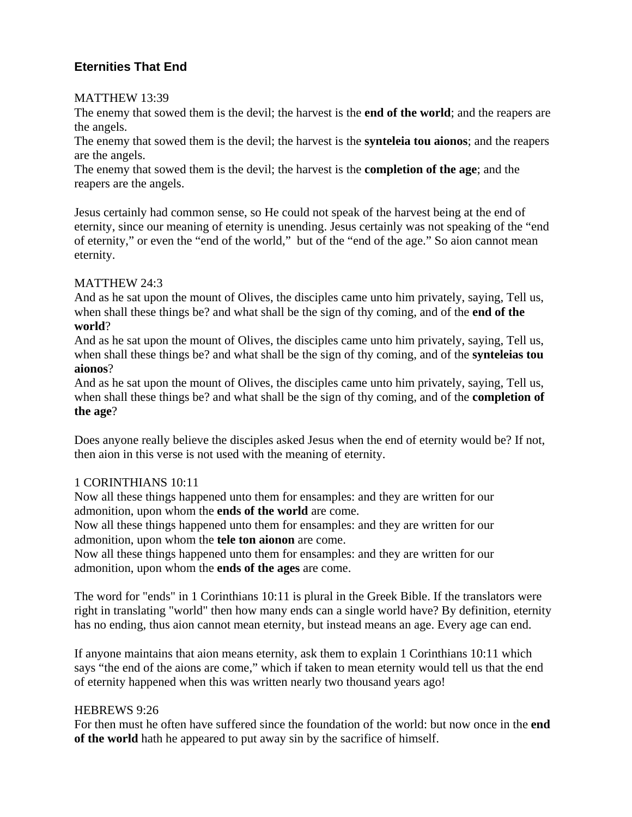# **Eternities That End**

#### MATTHEW 13:39

The enemy that sowed them is the devil; the harvest is the **end of the world**; and the reapers are the angels.

The enemy that sowed them is the devil; the harvest is the **synteleia tou aionos**; and the reapers are the angels.

The enemy that sowed them is the devil; the harvest is the **completion of the age**; and the reapers are the angels.

Jesus certainly had common sense, so He could not speak of the harvest being at the end of eternity, since our meaning of eternity is unending. Jesus certainly was not speaking of the "end of eternity," or even the "end of the world," but of the "end of the age." So aion cannot mean eternity.

# MATTHEW 24:3

And as he sat upon the mount of Olives, the disciples came unto him privately, saying, Tell us, when shall these things be? and what shall be the sign of thy coming, and of the **end of the world**?

And as he sat upon the mount of Olives, the disciples came unto him privately, saying, Tell us, when shall these things be? and what shall be the sign of thy coming, and of the **synteleias tou aionos**?

And as he sat upon the mount of Olives, the disciples came unto him privately, saying, Tell us, when shall these things be? and what shall be the sign of thy coming, and of the **completion of the age**?

Does anyone really believe the disciples asked Jesus when the end of eternity would be? If not, then aion in this verse is not used with the meaning of eternity.

# 1 CORINTHIANS 10:11

Now all these things happened unto them for ensamples: and they are written for our admonition, upon whom the **ends of the world** are come.

Now all these things happened unto them for ensamples: and they are written for our admonition, upon whom the **tele ton aionon** are come.

Now all these things happened unto them for ensamples: and they are written for our admonition, upon whom the **ends of the ages** are come.

The word for "ends" in 1 Corinthians 10:11 is plural in the Greek Bible. If the translators were right in translating "world" then how many ends can a single world have? By definition, eternity has no ending, thus aion cannot mean eternity, but instead means an age. Every age can end.

If anyone maintains that aion means eternity, ask them to explain 1 Corinthians 10:11 which says "the end of the aions are come," which if taken to mean eternity would tell us that the end of eternity happened when this was written nearly two thousand years ago!

# HEBREWS 9:26

For then must he often have suffered since the foundation of the world: but now once in the **end of the world** hath he appeared to put away sin by the sacrifice of himself.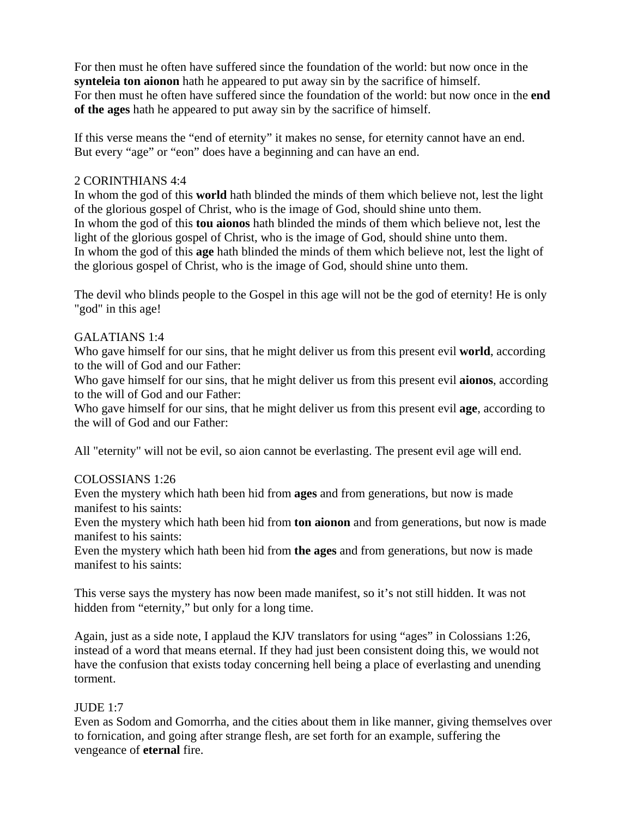For then must he often have suffered since the foundation of the world: but now once in the **synteleia ton aionon** hath he appeared to put away sin by the sacrifice of himself. For then must he often have suffered since the foundation of the world: but now once in the **end of the ages** hath he appeared to put away sin by the sacrifice of himself.

If this verse means the "end of eternity" it makes no sense, for eternity cannot have an end. But every "age" or "eon" does have a beginning and can have an end.

#### 2 CORINTHIANS 4:4

In whom the god of this **world** hath blinded the minds of them which believe not, lest the light of the glorious gospel of Christ, who is the image of God, should shine unto them. In whom the god of this **tou aionos** hath blinded the minds of them which believe not, lest the light of the glorious gospel of Christ, who is the image of God, should shine unto them. In whom the god of this **age** hath blinded the minds of them which believe not, lest the light of the glorious gospel of Christ, who is the image of God, should shine unto them.

The devil who blinds people to the Gospel in this age will not be the god of eternity! He is only "god" in this age!

# GALATIANS 1:4

Who gave himself for our sins, that he might deliver us from this present evil **world**, according to the will of God and our Father:

Who gave himself for our sins, that he might deliver us from this present evil **aionos**, according to the will of God and our Father:

Who gave himself for our sins, that he might deliver us from this present evil **age**, according to the will of God and our Father:

All "eternity" will not be evil, so aion cannot be everlasting. The present evil age will end.

#### COLOSSIANS 1:26

Even the mystery which hath been hid from **ages** and from generations, but now is made manifest to his saints:

Even the mystery which hath been hid from **ton aionon** and from generations, but now is made manifest to his saints:

Even the mystery which hath been hid from **the ages** and from generations, but now is made manifest to his saints:

This verse says the mystery has now been made manifest, so it's not still hidden. It was not hidden from "eternity," but only for a long time.

Again, just as a side note, I applaud the KJV translators for using "ages" in Colossians 1:26, instead of a word that means eternal. If they had just been consistent doing this, we would not have the confusion that exists today concerning hell being a place of everlasting and unending torment.

# $JUDE 1:7$

Even as Sodom and Gomorrha, and the cities about them in like manner, giving themselves over to fornication, and going after strange flesh, are set forth for an example, suffering the vengeance of **eternal** fire.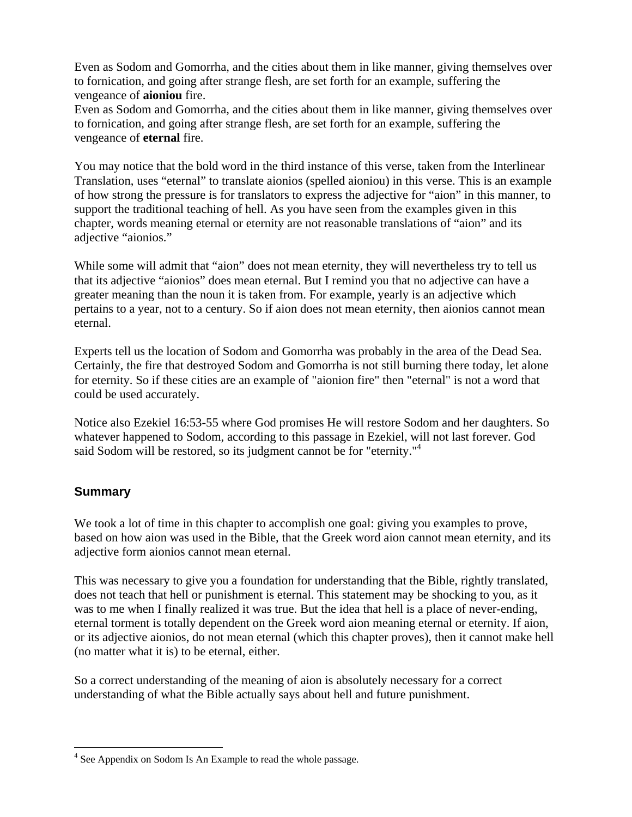Even as Sodom and Gomorrha, and the cities about them in like manner, giving themselves over to fornication, and going after strange flesh, are set forth for an example, suffering the vengeance of **aioniou** fire.

Even as Sodom and Gomorrha, and the cities about them in like manner, giving themselves over to fornication, and going after strange flesh, are set forth for an example, suffering the vengeance of **eternal** fire.

You may notice that the bold word in the third instance of this verse, taken from the Interlinear Translation, uses "eternal" to translate aionios (spelled aioniou) in this verse. This is an example of how strong the pressure is for translators to express the adjective for "aion" in this manner, to support the traditional teaching of hell. As you have seen from the examples given in this chapter, words meaning eternal or eternity are not reasonable translations of "aion" and its adjective "aionios."

While some will admit that "aion" does not mean eternity, they will nevertheless try to tell us that its adjective "aionios" does mean eternal. But I remind you that no adjective can have a greater meaning than the noun it is taken from. For example, yearly is an adjective which pertains to a year, not to a century. So if aion does not mean eternity, then aionios cannot mean eternal.

Experts tell us the location of Sodom and Gomorrha was probably in the area of the Dead Sea. Certainly, the fire that destroyed Sodom and Gomorrha is not still burning there today, let alone for eternity. So if these cities are an example of "aionion fire" then "eternal" is not a word that could be used accurately.

Notice also Ezekiel 16:53-55 where God promises He will restore Sodom and her daughters. So whatever happened to Sodom, according to this passage in Ezekiel, will not last forever. God said Sodom will be restored, so its judgment cannot be for "eternity."4

# **Summary**

 $\overline{a}$ 

We took a lot of time in this chapter to accomplish one goal: giving you examples to prove, based on how aion was used in the Bible, that the Greek word aion cannot mean eternity, and its adjective form aionios cannot mean eternal.

This was necessary to give you a foundation for understanding that the Bible, rightly translated, does not teach that hell or punishment is eternal. This statement may be shocking to you, as it was to me when I finally realized it was true. But the idea that hell is a place of never-ending, eternal torment is totally dependent on the Greek word aion meaning eternal or eternity. If aion, or its adjective aionios, do not mean eternal (which this chapter proves), then it cannot make hell (no matter what it is) to be eternal, either.

So a correct understanding of the meaning of aion is absolutely necessary for a correct understanding of what the Bible actually says about hell and future punishment.

<sup>&</sup>lt;sup>4</sup> See Appendix on Sodom Is An Example to read the whole passage.